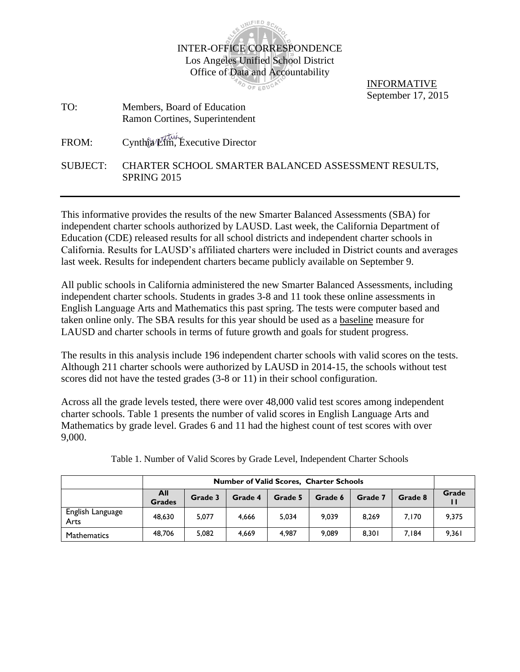

PO OF EDUCA

INFORMATIVE September 17, 2015

TO: Members, Board of Education Ramon Cortines, Superintendent

FROM: Cynthia Lim, Executive Director

SUBJECT: CHARTER SCHOOL SMARTER BALANCED ASSESSMENT RESULTS, SPRING 2015

This informative provides the results of the new Smarter Balanced Assessments (SBA) for independent charter schools authorized by LAUSD. Last week, the California Department of Education (CDE) released results for all school districts and independent charter schools in California. Results for LAUSD's affiliated charters were included in District counts and averages last week. Results for independent charters became publicly available on September 9.

All public schools in California administered the new Smarter Balanced Assessments, including independent charter schools. Students in grades 3-8 and 11 took these online assessments in English Language Arts and Mathematics this past spring. The tests were computer based and taken online only. The SBA results for this year should be used as a baseline measure for LAUSD and charter schools in terms of future growth and goals for student progress.

The results in this analysis include 196 independent charter schools with valid scores on the tests. Although 211 charter schools were authorized by LAUSD in 2014-15, the schools without test scores did not have the tested grades (3-8 or 11) in their school configuration.

Across all the grade levels tested, there were over 48,000 valid test scores among independent charter schools. Table 1 presents the number of valid scores in English Language Arts and Mathematics by grade level. Grades 6 and 11 had the highest count of test scores with over 9,000.

|                          | <b>Number of Valid Scores, Charter Schools</b> |         |         |         |         |         |         |       |  |
|--------------------------|------------------------------------------------|---------|---------|---------|---------|---------|---------|-------|--|
|                          | <b>All</b><br><b>Grades</b>                    | Grade 3 | Grade 4 | Grade 5 | Grade 6 | Grade 7 | Grade 8 | Grade |  |
| English Language<br>Arts | 48,630                                         | 5.077   | 4.666   | 5,034   | 9,039   | 8.269   | 7,170   | 9,375 |  |
| Mathematics              | 48.706                                         | 5.082   | 4.669   | 4.987   | 9.089   | 8.301   | 7.184   | 9.361 |  |

Table 1. Number of Valid Scores by Grade Level, Independent Charter Schools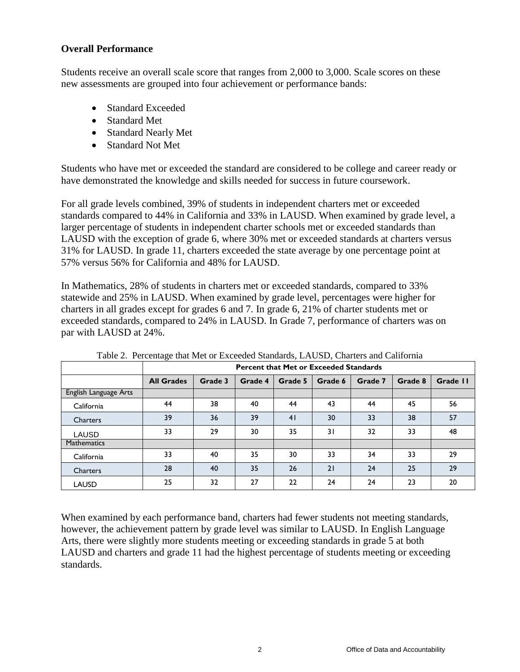# **Overall Performance**

Students receive an overall scale score that ranges from 2,000 to 3,000. Scale scores on these new assessments are grouped into four achievement or performance bands:

- Standard Exceeded
- Standard Met
- Standard Nearly Met
- Standard Not Met

Students who have met or exceeded the standard are considered to be college and career ready or have demonstrated the knowledge and skills needed for success in future coursework.

For all grade levels combined, 39% of students in independent charters met or exceeded standards compared to 44% in California and 33% in LAUSD. When examined by grade level, a larger percentage of students in independent charter schools met or exceeded standards than LAUSD with the exception of grade 6, where 30% met or exceeded standards at charters versus 31% for LAUSD. In grade 11, charters exceeded the state average by one percentage point at 57% versus 56% for California and 48% for LAUSD.

In Mathematics, 28% of students in charters met or exceeded standards, compared to 33% statewide and 25% in LAUSD. When examined by grade level, percentages were higher for charters in all grades except for grades 6 and 7. In grade 6, 21% of charter students met or exceeded standards, compared to 24% in LAUSD. In Grade 7, performance of charters was on par with LAUSD at 24%.

| $\frac{1}{2}$ and $\frac{1}{2}$ are converged that there is a more | <b>Percent that Met or Exceeded Standards</b> |         |         |         |         |         |         |          |  |  |
|--------------------------------------------------------------------|-----------------------------------------------|---------|---------|---------|---------|---------|---------|----------|--|--|
|                                                                    | <b>All Grades</b>                             | Grade 3 | Grade 4 | Grade 5 | Grade 6 | Grade 7 | Grade 8 | Grade II |  |  |
| English Language Arts                                              |                                               |         |         |         |         |         |         |          |  |  |
| California                                                         | 44                                            | 38      | 40      | 44      | 43      | 44      | 45      | 56       |  |  |
| <b>Charters</b>                                                    | 39                                            | 36      | 39      | 41      | 30      | 33      | 38      | 57       |  |  |
| <b>LAUSD</b>                                                       | 33                                            | 29      | 30      | 35      | 31      | 32      | 33      | 48       |  |  |
| <b>Mathematics</b>                                                 |                                               |         |         |         |         |         |         |          |  |  |
| California                                                         | 33                                            | 40      | 35      | 30      | 33      | 34      | 33      | 29       |  |  |
| <b>Charters</b>                                                    | 28                                            | 40      | 35      | 26      | 21      | 24      | 25      | 29       |  |  |
| <b>LAUSD</b>                                                       | 25                                            | 32      | 27      | 22      | 24      | 24      | 23      | 20       |  |  |

Table 2. Percentage that Met or Exceeded Standards, LAUSD, Charters and California

When examined by each performance band, charters had fewer students not meeting standards, however, the achievement pattern by grade level was similar to LAUSD. In English Language Arts, there were slightly more students meeting or exceeding standards in grade 5 at both LAUSD and charters and grade 11 had the highest percentage of students meeting or exceeding standards.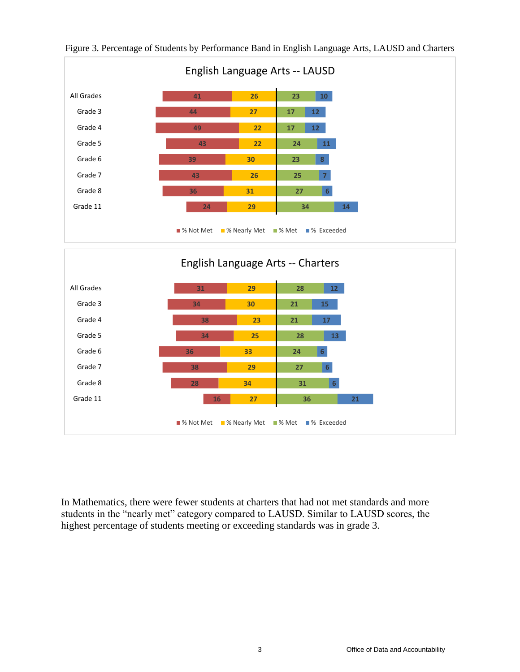

In Mathematics, there were fewer students at charters that had not met standards and more students in the "nearly met" category compared to LAUSD. Similar to LAUSD scores, the highest percentage of students meeting or exceeding standards was in grade 3.

■% Not Met ■% Nearly Met ■% Met ■% Exceeded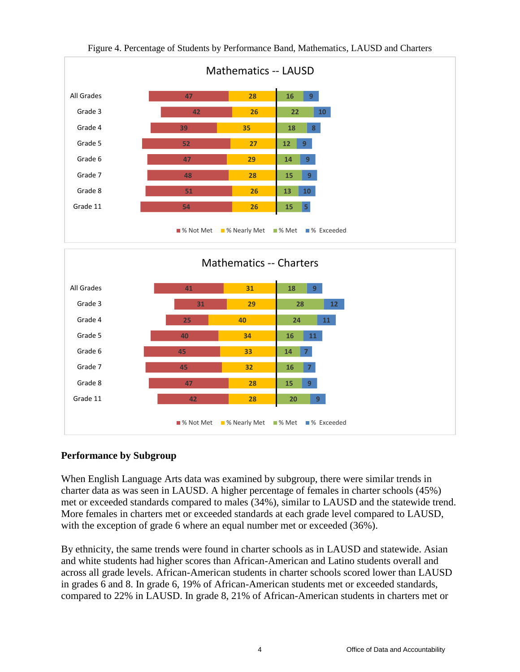

# **Performance by Subgroup**

When English Language Arts data was examined by subgroup, there were similar trends in charter data as was seen in LAUSD. A higher percentage of females in charter schools (45%) met or exceeded standards compared to males (34%), similar to LAUSD and the statewide trend. More females in charters met or exceeded standards at each grade level compared to LAUSD, with the exception of grade 6 where an equal number met or exceeded (36%).

By ethnicity, the same trends were found in charter schools as in LAUSD and statewide. Asian and white students had higher scores than African-American and Latino students overall and across all grade levels. African-American students in charter schools scored lower than LAUSD in grades 6 and 8. In grade 6, 19% of African-American students met or exceeded standards, compared to 22% in LAUSD. In grade 8, 21% of African-American students in charters met or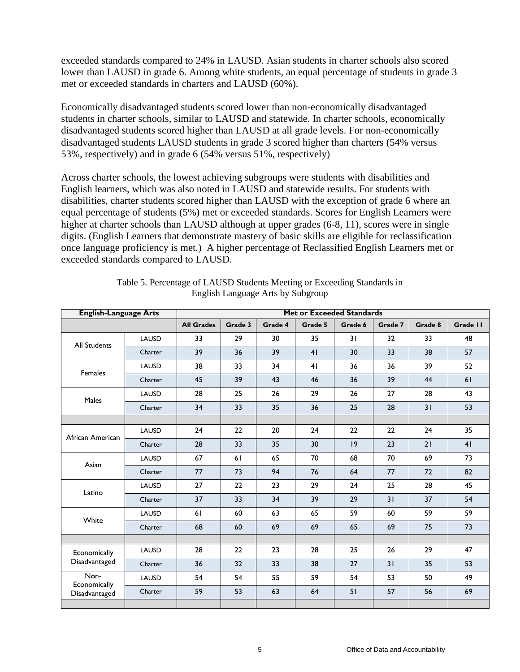exceeded standards compared to 24% in LAUSD. Asian students in charter schools also scored lower than LAUSD in grade 6. Among white students, an equal percentage of students in grade 3 met or exceeded standards in charters and LAUSD (60%).

Economically disadvantaged students scored lower than non-economically disadvantaged students in charter schools, similar to LAUSD and statewide. In charter schools, economically disadvantaged students scored higher than LAUSD at all grade levels. For non-economically disadvantaged students LAUSD students in grade 3 scored higher than charters (54% versus 53%, respectively) and in grade 6 (54% versus 51%, respectively)

Across charter schools, the lowest achieving subgroups were students with disabilities and English learners, which was also noted in LAUSD and statewide results. For students with disabilities, charter students scored higher than LAUSD with the exception of grade 6 where an equal percentage of students (5%) met or exceeded standards. Scores for English Learners were higher at charter schools than LAUSD although at upper grades (6-8, 11), scores were in single digits. (English Learners that demonstrate mastery of basic skills are eligible for reclassification once language proficiency is met.) A higher percentage of Reclassified English Learners met or exceeded standards compared to LAUSD.

| <b>English-Language Arts</b>  |              | <b>Met or Exceeded Standards</b> |         |         |         |         |         |         |                |  |
|-------------------------------|--------------|----------------------------------|---------|---------|---------|---------|---------|---------|----------------|--|
|                               |              | <b>All Grades</b>                | Grade 3 | Grade 4 | Grade 5 | Grade 6 | Grade 7 | Grade 8 | Grade II       |  |
| <b>All Students</b>           | LAUSD        | 33                               | 29      | 30      | 35      | 31      | 32      | 33      | 48             |  |
|                               | Charter      | 39                               | 36      | 39      | 41      | 30      | 33      | 38      | 57             |  |
| Females                       | LAUSD        | 38                               | 33      | 34      | 41      | 36      | 36      | 39      | 52             |  |
|                               | Charter      | 45                               | 39      | 43      | 46      | 36      | 39      | 44      | 61             |  |
| Males                         | <b>LAUSD</b> | 28                               | 25      | 26      | 29      | 26      | 27      | 28      | 43             |  |
|                               | Charter      | 34                               | 33      | 35      | 36      | 25      | 28      | 31      | 53             |  |
|                               |              |                                  |         |         |         |         |         |         |                |  |
| African American              | LAUSD        | 24                               | 22      | 20      | 24      | 22      | 22      | 24      | 35             |  |
|                               | Charter      | 28                               | 33      | 35      | 30      | 9       | 23      | 21      | 4 <sub>1</sub> |  |
| Asian                         | LAUSD        | 67                               | 61      | 65      | 70      | 68      | 70      | 69      | 73             |  |
|                               | Charter      | 77                               | 73      | 94      | 76      | 64      | 77      | 72      | 82             |  |
| Latino                        | LAUSD        | 27                               | 22      | 23      | 29      | 24      | 25      | 28      | 45             |  |
|                               | Charter      | 37                               | 33      | 34      | 39      | 29      | 31      | 37      | 54             |  |
| White                         | <b>LAUSD</b> | 61                               | 60      | 63      | 65      | 59      | 60      | 59      | 59             |  |
|                               | Charter      | 68                               | 60      | 69      | 69      | 65      | 69      | 75      | 73             |  |
|                               |              |                                  |         |         |         |         |         |         |                |  |
| Economically                  | <b>LAUSD</b> | 28                               | 22      | 23      | 28      | 25      | 26      | 29      | 47             |  |
| Disadvantaged                 | Charter      | 36                               | 32      | 33      | 38      | 27      | 31      | 35      | 53             |  |
| Non-                          | <b>LAUSD</b> | 54                               | 54      | 55      | 59      | 54      | 53      | 50      | 49             |  |
| Economically<br>Disadvantaged | Charter      | 59                               | 53      | 63      | 64      | 51      | 57      | 56      | 69             |  |
|                               |              |                                  |         |         |         |         |         |         |                |  |

| Table 5. Percentage of LAUSD Students Meeting or Exceeding Standards in |
|-------------------------------------------------------------------------|
| English Language Arts by Subgroup                                       |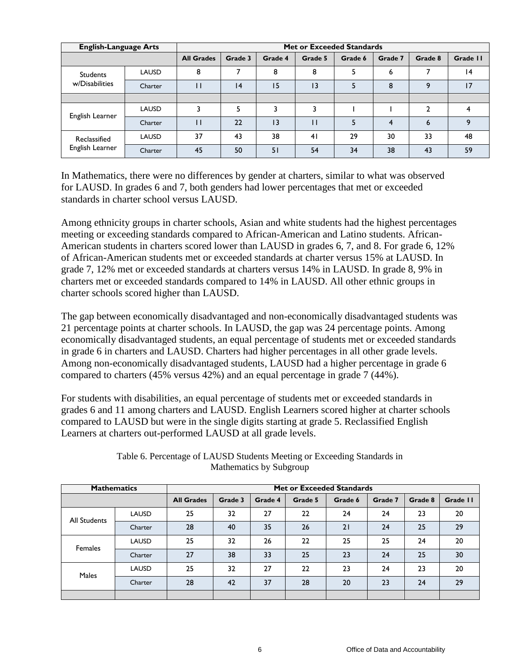| <b>English-Language Arts</b>    |              | Met or Exceeded Standards |         |                 |                 |         |         |              |          |  |
|---------------------------------|--------------|---------------------------|---------|-----------------|-----------------|---------|---------|--------------|----------|--|
|                                 |              | <b>All Grades</b>         | Grade 3 | Grade 4         | Grade 5         | Grade 6 | Grade 7 | Grade 8      | Grade II |  |
| <b>Students</b>                 | LAUSD        | 8                         |         | 8               | 8               |         | 6       | 7            | 14       |  |
| w/Disabilities                  | Charter      |                           | 4       | 15              | $\overline{13}$ |         | 8       | $\mathsf{Q}$ | 17       |  |
|                                 |              |                           |         |                 |                 |         |         |              |          |  |
|                                 | LAUSD        |                           |         |                 |                 |         |         | $\mathbf{2}$ |          |  |
| English Learner                 | Charter      |                           | 22      | $\overline{13}$ | п               |         | 4       | 6            | 9        |  |
| Reclassified<br>English Learner | <b>LAUSD</b> | 37                        | 43      | 38              | 4 <sub>1</sub>  | 29      | 30      | 33           | 48       |  |
|                                 | Charter      | 45                        | 50      | 51              | 54              | 34      | 38      | 43           | 59       |  |

In Mathematics, there were no differences by gender at charters, similar to what was observed for LAUSD. In grades 6 and 7, both genders had lower percentages that met or exceeded standards in charter school versus LAUSD.

Among ethnicity groups in charter schools, Asian and white students had the highest percentages meeting or exceeding standards compared to African-American and Latino students. African-American students in charters scored lower than LAUSD in grades 6, 7, and 8. For grade 6, 12% of African-American students met or exceeded standards at charter versus 15% at LAUSD. In grade 7, 12% met or exceeded standards at charters versus 14% in LAUSD. In grade 8, 9% in charters met or exceeded standards compared to 14% in LAUSD. All other ethnic groups in charter schools scored higher than LAUSD.

The gap between economically disadvantaged and non-economically disadvantaged students was 21 percentage points at charter schools. In LAUSD, the gap was 24 percentage points. Among economically disadvantaged students, an equal percentage of students met or exceeded standards in grade 6 in charters and LAUSD. Charters had higher percentages in all other grade levels. Among non-economically disadvantaged students, LAUSD had a higher percentage in grade 6 compared to charters (45% versus 42%) and an equal percentage in grade 7 (44%).

For students with disabilities, an equal percentage of students met or exceeded standards in grades 6 and 11 among charters and LAUSD. English Learners scored higher at charter schools compared to LAUSD but were in the single digits starting at grade 5. Reclassified English Learners at charters out-performed LAUSD at all grade levels.

| <b>Mathematics</b> |              | Met or Exceeded Standards |         |         |         |         |         |         |          |  |
|--------------------|--------------|---------------------------|---------|---------|---------|---------|---------|---------|----------|--|
|                    |              | <b>All Grades</b>         | Grade 3 | Grade 4 | Grade 5 | Grade 6 | Grade 7 | Grade 8 | Grade II |  |
| All Students       | <b>LAUSD</b> | 25                        | 32      | 27      | 22      | 24      | 24      | 23      | 20       |  |
|                    | Charter      | 28                        | 40      | 35      | 26      | 21      | 24      | 25      | 29       |  |
| Females            | <b>LAUSD</b> | 25                        | 32      | 26      | 22      | 25      | 25      | 24      | 20       |  |
|                    | Charter      | 27                        | 38      | 33      | 25      | 23      | 24      | 25      | 30       |  |
| <b>Males</b>       | <b>LAUSD</b> | 25                        | 32      | 27      | 22      | 23      | 24      | 23      | 20       |  |
|                    | Charter      | 28                        | 42      | 37      | 28      | 20      | 23      | 24      | 29       |  |
|                    |              |                           |         |         |         |         |         |         |          |  |

Table 6. Percentage of LAUSD Students Meeting or Exceeding Standards in Mathematics by Subgroup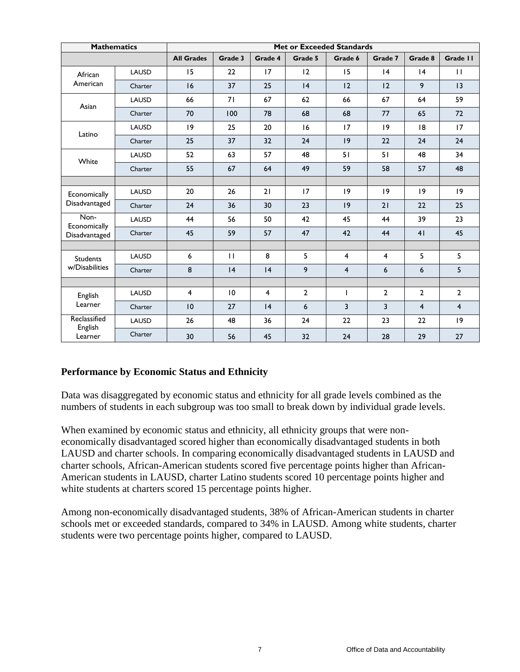| <b>Mathematics</b>      |              | <b>Met or Exceeded Standards</b> |                 |         |                |                         |                |                |                         |  |
|-------------------------|--------------|----------------------------------|-----------------|---------|----------------|-------------------------|----------------|----------------|-------------------------|--|
|                         |              | <b>All Grades</b>                | Grade 3         | Grade 4 | Grade 5        | Grade 6                 | Grade 7        | Grade 8        | Grade II                |  |
| African                 | LAUSD        | 15                               | 22              | 17      | 12             | 15                      | 4              | 4              | $\mathbf{H}$            |  |
| American                | Charter      | 16                               | 37              | 25      | 4              | 12                      | 12             | 9              | 13                      |  |
| Asian                   | <b>LAUSD</b> | 66                               | 71              | 67      | 62             | 66                      | 67             | 64             | 59                      |  |
|                         | Charter      | 70                               | 100             | 78      | 68             | 68                      | 77             | 65             | 72                      |  |
| Latino                  | LAUSD        | 19                               | 25              | 20      | 16             | 17                      | 19             | 8              | 17                      |  |
|                         | Charter      | 25                               | 37              | 32      | 24             | 9                       | 22             | 24             | 24                      |  |
| White                   | LAUSD        | 52                               | 63              | 57      | 48             | 51                      | 51             | 48             | 34                      |  |
|                         | Charter      | 55                               | 67              | 64      | 49             | 59                      | 58             | 57             | 48                      |  |
|                         |              |                                  |                 |         |                |                         |                |                |                         |  |
| Economically            | LAUSD        | 20                               | 26              | 21      | 17             | 19                      | 9              | 9              | 19                      |  |
| Disadvantaged           | Charter      | 24                               | 36              | 30      | 23             | 9                       | 21             | 22             | 25                      |  |
| Non-<br>Economically    | LAUSD        | 44                               | 56              | 50      | 42             | 45                      | 44             | 39             | 23                      |  |
| Disadvantaged           | Charter      | 45                               | 59              | 57      | 47             | 42                      | 44             | 41             | 45                      |  |
|                         |              |                                  |                 |         |                |                         |                |                |                         |  |
| <b>Students</b>         | LAUSD        | 6                                | $\mathbf{H}$    | 8       | 5              | 4                       | $\overline{4}$ | 5              | 5                       |  |
| w/Disabilities          | Charter      | 8                                | 4               | 4       | 9              | $\overline{\mathbf{4}}$ | 6              | 6              | 5                       |  |
|                         |              |                                  |                 |         |                |                         |                |                |                         |  |
| English                 | LAUSD        | 4                                | $\overline{10}$ | 4       | $\overline{2}$ | $\mathbf{I}$            | $\overline{2}$ | $\mathbf{2}$   | $\overline{2}$          |  |
| Learner                 | Charter      | 10                               | 27              | 4       | 6              | $\overline{3}$          | $\overline{3}$ | $\overline{4}$ | $\overline{\mathbf{4}}$ |  |
| Reclassified<br>English | LAUSD        | 26                               | 48              | 36      | 24             | 22                      | 23             | 22             | $ 9\rangle$             |  |
| Learner                 | Charter      | 30                               | 56              | 45      | 32             | 24                      | 28             | 29             | 27                      |  |

### **Performance by Economic Status and Ethnicity**

Data was disaggregated by economic status and ethnicity for all grade levels combined as the numbers of students in each subgroup was too small to break down by individual grade levels.

When examined by economic status and ethnicity, all ethnicity groups that were noneconomically disadvantaged scored higher than economically disadvantaged students in both LAUSD and charter schools. In comparing economically disadvantaged students in LAUSD and charter schools, African-American students scored five percentage points higher than African-American students in LAUSD, charter Latino students scored 10 percentage points higher and white students at charters scored 15 percentage points higher.

Among non-economically disadvantaged students, 38% of African-American students in charter schools met or exceeded standards, compared to 34% in LAUSD. Among white students, charter students were two percentage points higher, compared to LAUSD.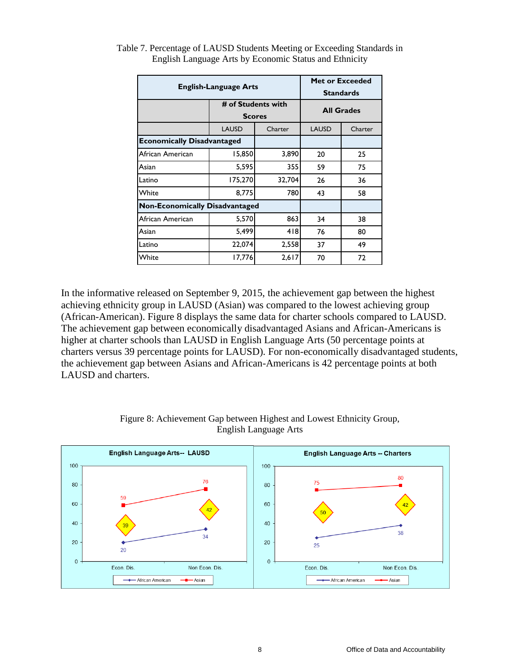| <b>English-Language Arts</b>          | <b>Met or Exceeded</b><br><b>Standards</b> |               |                   |         |  |
|---------------------------------------|--------------------------------------------|---------------|-------------------|---------|--|
|                                       | # of Students with                         | <b>Scores</b> | <b>All Grades</b> |         |  |
|                                       | <b>LAUSD</b>                               | Charter       | <b>LAUSD</b>      | Charter |  |
| <b>Economically Disadvantaged</b>     |                                            |               |                   |         |  |
| African American                      | 15,850                                     | 3,890         | 20                | 25      |  |
| Asian                                 | 5,595                                      | 355           | 59                | 75      |  |
| Latino                                | 175,270                                    | 32,704        | 26                | 36      |  |
| White                                 | 8,775                                      | 780           | 43                | 58      |  |
| <b>Non-Economically Disadvantaged</b> |                                            |               |                   |         |  |
| African American                      | 5,570                                      | 863           | 34                | 38      |  |
| Asian                                 | 5,499                                      | 4 8           | 76                | 80      |  |
| Latino                                | 22,074                                     | 2,558         | 37                | 49      |  |
| White                                 | 17,776                                     | 2,617         | 70                | 72      |  |

Table 7. Percentage of LAUSD Students Meeting or Exceeding Standards in English Language Arts by Economic Status and Ethnicity

In the informative released on September 9, 2015, the achievement gap between the highest achieving ethnicity group in LAUSD (Asian) was compared to the lowest achieving group (African-American). Figure 8 displays the same data for charter schools compared to LAUSD. The achievement gap between economically disadvantaged Asians and African-Americans is higher at charter schools than LAUSD in English Language Arts (50 percentage points at charters versus 39 percentage points for LAUSD). For non-economically disadvantaged students, the achievement gap between Asians and African-Americans is 42 percentage points at both LAUSD and charters.



#### Figure 8: Achievement Gap between Highest and Lowest Ethnicity Group, English Language Arts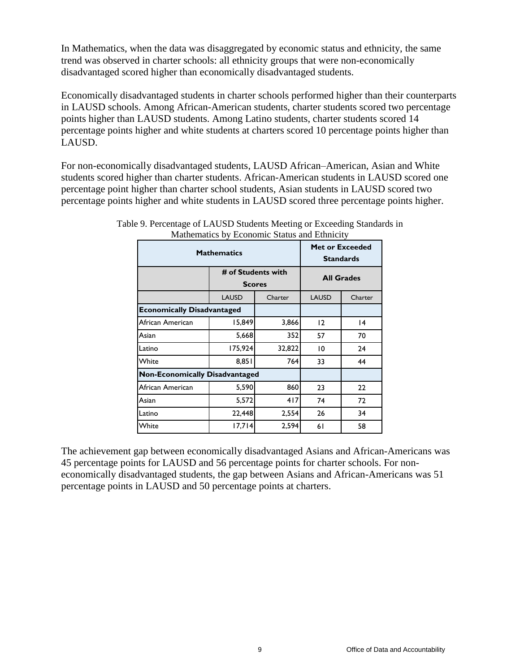In Mathematics, when the data was disaggregated by economic status and ethnicity, the same trend was observed in charter schools: all ethnicity groups that were non-economically disadvantaged scored higher than economically disadvantaged students.

Economically disadvantaged students in charter schools performed higher than their counterparts in LAUSD schools. Among African-American students, charter students scored two percentage points higher than LAUSD students. Among Latino students, charter students scored 14 percentage points higher and white students at charters scored 10 percentage points higher than LAUSD.

For non-economically disadvantaged students, LAUSD African–American, Asian and White students scored higher than charter students. African-American students in LAUSD scored one percentage point higher than charter school students, Asian students in LAUSD scored two percentage points higher and white students in LAUSD scored three percentage points higher.

| <b>Mathematics</b>                    | <b>Met or Exceeded</b><br><b>Standards</b> |               |                   |         |  |
|---------------------------------------|--------------------------------------------|---------------|-------------------|---------|--|
|                                       | # of Students with                         | <b>Scores</b> | <b>All Grades</b> |         |  |
|                                       | <b>LAUSD</b>                               | Charter       | <b>LAUSD</b>      | Charter |  |
| <b>Economically Disadvantaged</b>     |                                            |               |                   |         |  |
| African American                      | 15,849                                     | 3,866         | 12                | 14      |  |
| Asian                                 | 5,668                                      | 352           | 57                | 70      |  |
| Latino                                | 175,924                                    | 32,822        | 10                | 24      |  |
| White                                 | 8,851                                      | 764           | 33                | 44      |  |
| <b>Non-Economically Disadvantaged</b> |                                            |               |                   |         |  |
| African American                      | 5,590                                      | 860           | 23                | 22      |  |
| Asian                                 | 5,572                                      | 417           | 74                | 72      |  |
| Latino                                | 22,448                                     | 2,554         | 26                | 34      |  |
| White                                 | 17,714                                     | 2,594         | 61                | 58      |  |

Table 9. Percentage of LAUSD Students Meeting or Exceeding Standards in Mathematics by Economic Status and Ethnicity

The achievement gap between economically disadvantaged Asians and African-Americans was 45 percentage points for LAUSD and 56 percentage points for charter schools. For noneconomically disadvantaged students, the gap between Asians and African-Americans was 51 percentage points in LAUSD and 50 percentage points at charters.